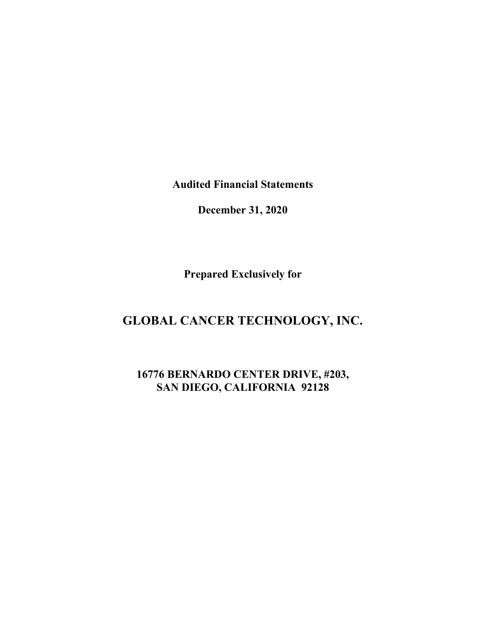**Audited Financial Statements** 

**December 31, 2020** 

**Prepared Exclusively for** 

# **GLOBAL CANCER TECHNOLOGY, INC.**

**16776 BERNARDO CENTER DRIVE, #203, SAN DIEGO, CALIFORNIA 92128**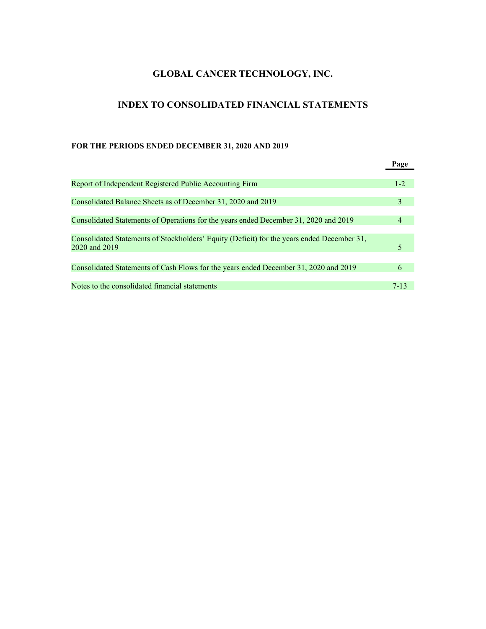# **GLOBAL CANCER TECHNOLOGY, INC.**

# **INDEX TO CONSOLIDATED FINANCIAL STATEMENTS**

# **FOR THE PERIODS ENDED DECEMBER 31, 2020 AND 2019**

|                                                                                            | 'age  |
|--------------------------------------------------------------------------------------------|-------|
|                                                                                            |       |
| Report of Independent Registered Public Accounting Firm                                    | $1-2$ |
|                                                                                            |       |
| Consolidated Balance Sheets as of December 31, 2020 and 2019                               | 3     |
|                                                                                            |       |
| Consolidated Statements of Operations for the years ended December 31, 2020 and 2019       |       |
|                                                                                            |       |
| Consolidated Statements of Stockholders' Equity (Deficit) for the years ended December 31, |       |
| 2020 and 2019                                                                              |       |
|                                                                                            |       |
| Consolidated Statements of Cash Flows for the years ended December 31, 2020 and 2019       | 6     |
|                                                                                            |       |
| Notes to the consolidated financial statements                                             | 7-13  |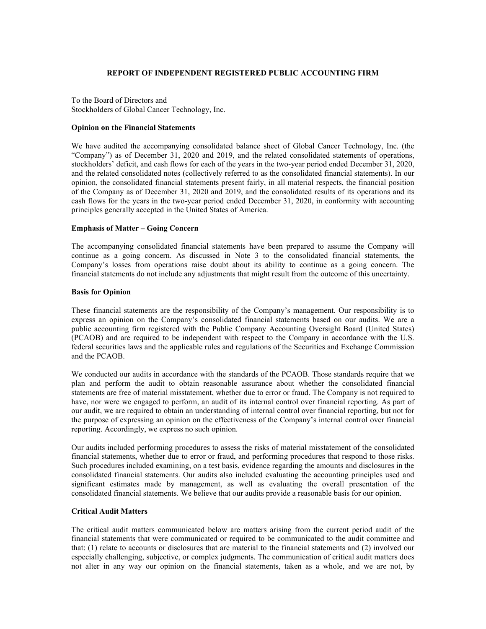#### **REPORT OF INDEPENDENT REGISTERED PUBLIC ACCOUNTING FIRM**

To the Board of Directors and Stockholders of Global Cancer Technology, Inc.

#### **Opinion on the Financial Statements**

We have audited the accompanying consolidated balance sheet of Global Cancer Technology, Inc. (the "Company") as of December 31, 2020 and 2019, and the related consolidated statements of operations, stockholders' deficit, and cash flows for each of the years in the two-year period ended December 31, 2020, and the related consolidated notes (collectively referred to as the consolidated financial statements). In our opinion, the consolidated financial statements present fairly, in all material respects, the financial position of the Company as of December 31, 2020 and 2019, and the consolidated results of its operations and its cash flows for the years in the two-year period ended December 31, 2020, in conformity with accounting principles generally accepted in the United States of America.

#### **Emphasis of Matter – Going Concern**

The accompanying consolidated financial statements have been prepared to assume the Company will continue as a going concern. As discussed in Note 3 to the consolidated financial statements, the Company's losses from operations raise doubt about its ability to continue as a going concern. The financial statements do not include any adjustments that might result from the outcome of this uncertainty.

#### **Basis for Opinion**

These financial statements are the responsibility of the Company's management. Our responsibility is to express an opinion on the Company's consolidated financial statements based on our audits. We are a public accounting firm registered with the Public Company Accounting Oversight Board (United States) (PCAOB) and are required to be independent with respect to the Company in accordance with the U.S. federal securities laws and the applicable rules and regulations of the Securities and Exchange Commission and the PCAOB.

We conducted our audits in accordance with the standards of the PCAOB. Those standards require that we plan and perform the audit to obtain reasonable assurance about whether the consolidated financial statements are free of material misstatement, whether due to error or fraud. The Company is not required to have, nor were we engaged to perform, an audit of its internal control over financial reporting. As part of our audit, we are required to obtain an understanding of internal control over financial reporting, but not for the purpose of expressing an opinion on the effectiveness of the Company's internal control over financial reporting. Accordingly, we express no such opinion.

Our audits included performing procedures to assess the risks of material misstatement of the consolidated financial statements, whether due to error or fraud, and performing procedures that respond to those risks. Such procedures included examining, on a test basis, evidence regarding the amounts and disclosures in the consolidated financial statements. Our audits also included evaluating the accounting principles used and significant estimates made by management, as well as evaluating the overall presentation of the consolidated financial statements. We believe that our audits provide a reasonable basis for our opinion.

#### **Critical Audit Matters**

The critical audit matters communicated below are matters arising from the current period audit of the financial statements that were communicated or required to be communicated to the audit committee and that: (1) relate to accounts or disclosures that are material to the financial statements and (2) involved our especially challenging, subjective, or complex judgments. The communication of critical audit matters does not alter in any way our opinion on the financial statements, taken as a whole, and we are not, by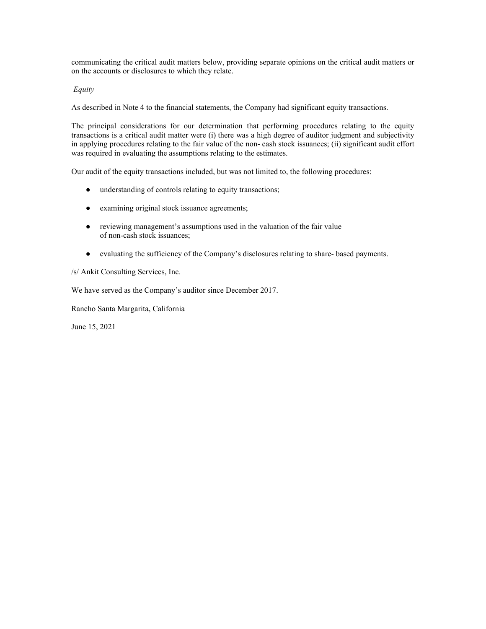communicating the critical audit matters below, providing separate opinions on the critical audit matters or on the accounts or disclosures to which they relate.

*Equity*

As described in Note 4 to the financial statements, the Company had significant equity transactions.

The principal considerations for our determination that performing procedures relating to the equity transactions is a critical audit matter were (i) there was a high degree of auditor judgment and subjectivity in applying procedures relating to the fair value of the non- cash stock issuances; (ii) significant audit effort was required in evaluating the assumptions relating to the estimates.

Our audit of the equity transactions included, but was not limited to, the following procedures:

- understanding of controls relating to equity transactions;
- examining original stock issuance agreements;
- reviewing management's assumptions used in the valuation of the fair value of non-cash stock issuances;
- evaluating the sufficiency of the Company's disclosures relating to share- based payments.

/s/ Ankit Consulting Services, Inc.

We have served as the Company's auditor since December 2017.

Rancho Santa Margarita, California

June 15, 2021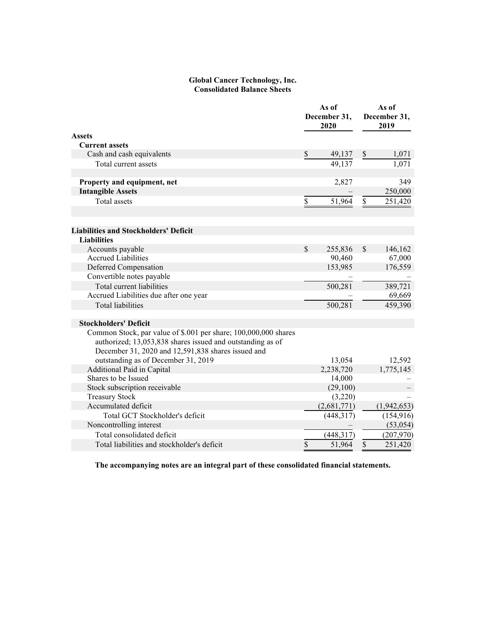#### **Global Cancer Technology, Inc. Consolidated Balance Sheets**

|                                                                                                                                                                                     | As of<br>December 31,<br>2020 |             |                           | As of<br>December 31,<br>2019 |  |  |
|-------------------------------------------------------------------------------------------------------------------------------------------------------------------------------------|-------------------------------|-------------|---------------------------|-------------------------------|--|--|
| <b>Assets</b>                                                                                                                                                                       |                               |             |                           |                               |  |  |
| <b>Current assets</b>                                                                                                                                                               |                               |             |                           |                               |  |  |
| Cash and cash equivalents                                                                                                                                                           | \$                            | 49,137      | $\boldsymbol{\mathsf{S}}$ | 1,071                         |  |  |
| Total current assets                                                                                                                                                                |                               | 49,137      |                           | 1,071                         |  |  |
| Property and equipment, net                                                                                                                                                         |                               | 2,827       |                           | 349                           |  |  |
| <b>Intangible Assets</b>                                                                                                                                                            |                               |             |                           | 250,000                       |  |  |
| Total assets                                                                                                                                                                        | \$                            | 51,964      | $\mathsf{\$}$             | 251,420                       |  |  |
|                                                                                                                                                                                     |                               |             |                           |                               |  |  |
| <b>Liabilities and Stockholders' Deficit</b>                                                                                                                                        |                               |             |                           |                               |  |  |
| <b>Liabilities</b>                                                                                                                                                                  |                               |             |                           |                               |  |  |
| Accounts payable                                                                                                                                                                    | \$                            | 255,836     | \$                        | 146,162                       |  |  |
| <b>Accrued Liabilities</b>                                                                                                                                                          |                               | 90,460      |                           | 67,000                        |  |  |
| Deferred Compensation                                                                                                                                                               |                               | 153,985     |                           | 176,559                       |  |  |
| Convertible notes payable                                                                                                                                                           |                               |             |                           |                               |  |  |
| Total current liabilities                                                                                                                                                           |                               | 500,281     |                           | 389,721                       |  |  |
| Accrued Liabilities due after one year                                                                                                                                              |                               |             |                           | 69,669                        |  |  |
| Total liabilities                                                                                                                                                                   |                               | 500,281     |                           | 459,390                       |  |  |
| <b>Stockholders' Deficit</b>                                                                                                                                                        |                               |             |                           |                               |  |  |
| Common Stock, par value of \$.001 per share; 100,000,000 shares<br>authorized; 13,053,838 shares issued and outstanding as of<br>December 31, 2020 and 12,591,838 shares issued and |                               |             |                           |                               |  |  |
| outstanding as of December 31, 2019                                                                                                                                                 |                               | 13,054      |                           | 12,592                        |  |  |
| Additional Paid in Capital                                                                                                                                                          |                               | 2,238,720   |                           | 1,775,145                     |  |  |
| Shares to be Issued                                                                                                                                                                 |                               | 14,000      |                           |                               |  |  |
| Stock subscription receivable                                                                                                                                                       |                               | (29,100)    |                           |                               |  |  |
| <b>Treasury Stock</b>                                                                                                                                                               |                               | (3,220)     |                           |                               |  |  |
| Accumulated deficit                                                                                                                                                                 |                               | (2,681,771) |                           | (1,942,653)                   |  |  |
| Total GCT Stockholder's deficit                                                                                                                                                     |                               | (448,317)   |                           | (154, 916)                    |  |  |
| Noncontrolling interest                                                                                                                                                             |                               |             |                           | (53, 054)                     |  |  |
| Total consolidated deficit                                                                                                                                                          |                               | (448,317)   |                           | (207,970)                     |  |  |
| Total liabilities and stockholder's deficit                                                                                                                                         | \$                            | 51,964      | \$                        | 251,420                       |  |  |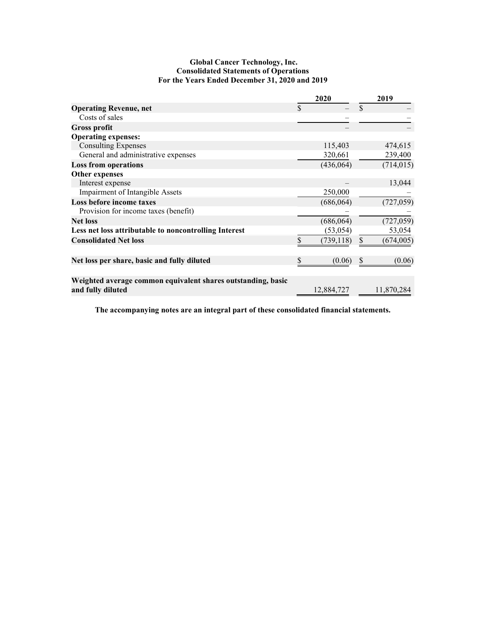#### **Global Cancer Technology, Inc. Consolidated Statements of Operations For the Years Ended December 31, 2020 and 2019**

|                                                              |    | 2020       | 2019 |            |
|--------------------------------------------------------------|----|------------|------|------------|
| <b>Operating Revenue, net</b>                                | \$ |            | \$   |            |
| Costs of sales                                               |    |            |      |            |
| <b>Gross profit</b>                                          |    |            |      |            |
| <b>Operating expenses:</b>                                   |    |            |      |            |
| <b>Consulting Expenses</b>                                   |    | 115,403    |      | 474,615    |
| General and administrative expenses                          |    | 320,661    |      | 239,400    |
| <b>Loss from operations</b>                                  |    | (436, 064) |      | (714, 015) |
| Other expenses                                               |    |            |      |            |
| Interest expense                                             |    |            |      | 13,044     |
| Impairment of Intangible Assets                              |    | 250,000    |      |            |
| Loss before income taxes                                     |    | (686, 064) |      | (727, 059) |
| Provision for income taxes (benefit)                         |    |            |      |            |
| <b>Net loss</b>                                              |    | (686, 064) |      | (727, 059) |
| Less net loss attributable to noncontrolling Interest        |    | (53, 054)  |      | 53,054     |
| <b>Consolidated Net loss</b>                                 | S  | (739, 118) | \$   | (674, 005) |
| Net loss per share, basic and fully diluted                  |    | (0.06)     | S    | (0.06)     |
| Weighted average common equivalent shares outstanding, basic |    |            |      |            |
| and fully diluted                                            |    | 12,884,727 |      | 11,870,284 |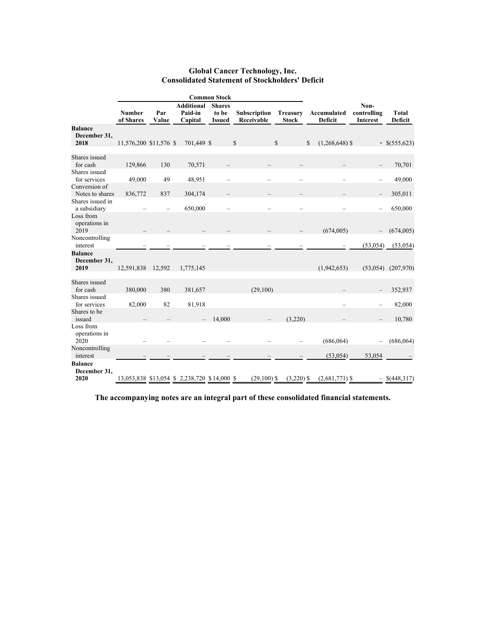|                                        |                            | <b>Common Stock</b> |                                              |                                         |                                   |                                 |                                  |                                        |                                |
|----------------------------------------|----------------------------|---------------------|----------------------------------------------|-----------------------------------------|-----------------------------------|---------------------------------|----------------------------------|----------------------------------------|--------------------------------|
|                                        | <b>Number</b><br>of Shares | Par<br>Value        | <b>Additional</b><br>Paid-in<br>Capital      | <b>Shares</b><br>to be<br><b>Issued</b> | <b>Subscription</b><br>Receivable | <b>Treasury</b><br><b>Stock</b> | Accumulated<br>Deficit           | Non-<br>controlling<br><b>Interest</b> | <b>Total</b><br><b>Deficit</b> |
| <b>Balance</b><br>December 31,<br>2018 | 11,576,200 \$11,576 \$     |                     | 701,449 \$                                   |                                         | $\mathbb{S}$                      | $\mathbb{S}$                    | $\mathbb{S}$<br>$(1,268,648)$ \$ |                                        | $-$ \$(555,623)                |
| Shares issued<br>for cash              | 129,866                    | 130                 | 70,571                                       |                                         |                                   |                                 |                                  |                                        | 70,701                         |
| Shares issued<br>for services          | 49,000                     | 49                  | 48,951                                       |                                         |                                   |                                 |                                  |                                        | 49,000                         |
| Conversion of<br>Notes to shares       | 836,772                    | 837                 | 304,174                                      |                                         |                                   |                                 |                                  |                                        | 305,011                        |
| Shares issued in<br>a subsidiary       |                            |                     | 650,000                                      |                                         |                                   |                                 |                                  |                                        | 650,000                        |
| Loss from<br>operations in<br>2019     |                            |                     |                                              |                                         |                                   |                                 | (674,005)                        |                                        | (674,005)                      |
| Noncontrolling<br>interest             |                            |                     |                                              |                                         |                                   |                                 |                                  | (53,054)                               | (53,054)                       |
| <b>Balance</b><br>December 31,<br>2019 | 12,591,838                 | 12,592              | 1,775,145                                    |                                         |                                   |                                 | (1,942,653)                      |                                        | $(53,054)$ $(207,970)$         |
| Shares issued<br>for cash              | 380,000                    | 380                 | 381,657                                      |                                         | (29,100)                          |                                 |                                  |                                        | 352,937                        |
| Shares issued<br>for services          | 82,000                     | 82                  | 81,918                                       |                                         |                                   |                                 |                                  |                                        | 82,000                         |
| Shares to be<br>issued                 |                            |                     |                                              | 14,000                                  |                                   | (3,220)                         |                                  |                                        | 10,780                         |
| Loss from<br>operations in<br>2020     |                            |                     |                                              |                                         |                                   |                                 | (686, 064)                       |                                        | (686, 064)                     |
| Noncontrolling<br>interest             |                            |                     |                                              |                                         |                                   |                                 | (53,054)                         | 53,054                                 |                                |
| <b>Balance</b><br>December 31,<br>2020 |                            |                     | 13,053,838 \$13,054 \$ 2,238,720 \$14,000 \$ |                                         | $(29,100)$ \$                     | $(3,220)$ \$                    | $(2,681,771)$ \$                 |                                        | $-$ \$(448,317)                |
|                                        |                            |                     |                                              |                                         |                                   |                                 |                                  |                                        |                                |

#### **Global Cancer Technology, Inc. Consolidated Statement of Stockholders' Deficit**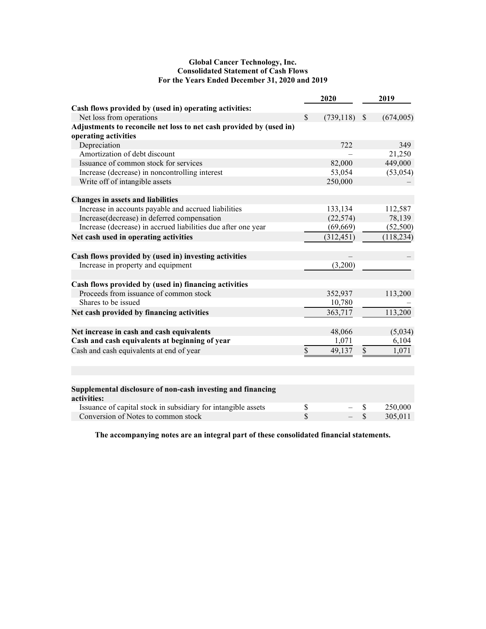# **Global Cancer Technology, Inc. Consolidated Statement of Cash Flows For the Years Ended December 31, 2020 and 2019**

|                                                                            | 2020             |               | 2019       |
|----------------------------------------------------------------------------|------------------|---------------|------------|
| Cash flows provided by (used in) operating activities:                     |                  |               |            |
| Net loss from operations                                                   | \$<br>(739, 118) | $\mathcal{S}$ | (674,005)  |
| Adjustments to reconcile net loss to net cash provided by (used in)        |                  |               |            |
| operating activities                                                       |                  |               |            |
| Depreciation                                                               | 722              |               | 349        |
| Amortization of debt discount                                              |                  |               | 21,250     |
| Issuance of common stock for services                                      | 82,000           |               | 449,000    |
| Increase (decrease) in noncontrolling interest                             | 53,054           |               | (53, 054)  |
| Write off of intangible assets                                             | 250,000          |               |            |
| <b>Changes in assets and liabilities</b>                                   |                  |               |            |
| Increase in accounts payable and accrued liabilities                       | 133,134          |               | 112,587    |
| Increase(decrease) in deferred compensation                                | (22, 574)        |               | 78,139     |
| Increase (decrease) in accrued liabilities due after one year              | (69, 669)        |               | (52, 500)  |
| Net cash used in operating activities                                      | (312, 451)       |               | (118, 234) |
| Cash flows provided by (used in) investing activities                      |                  |               |            |
| Increase in property and equipment                                         | (3,200)          |               |            |
| Cash flows provided by (used in) financing activities                      |                  |               |            |
| Proceeds from issuance of common stock                                     | 352,937          |               | 113,200    |
| Shares to be issued                                                        | 10,780           |               |            |
| Net cash provided by financing activities                                  | 363,717          |               | 113,200    |
| Net increase in cash and cash equivalents                                  | 48,066           |               | (5,034)    |
| Cash and cash equivalents at beginning of year                             | 1,071            |               | 6,104      |
| Cash and cash equivalents at end of year                                   | \$<br>49,137     | \$            | 1,071      |
|                                                                            |                  |               |            |
| Supplemental disclosure of non-cash investing and financing<br>activities: |                  |               |            |
| Issuance of capital stock in subsidiary for intangible assets              | \$               | \$            | 250,000    |
| Conversion of Notes to common stock                                        | \$               | \$            | 305,011    |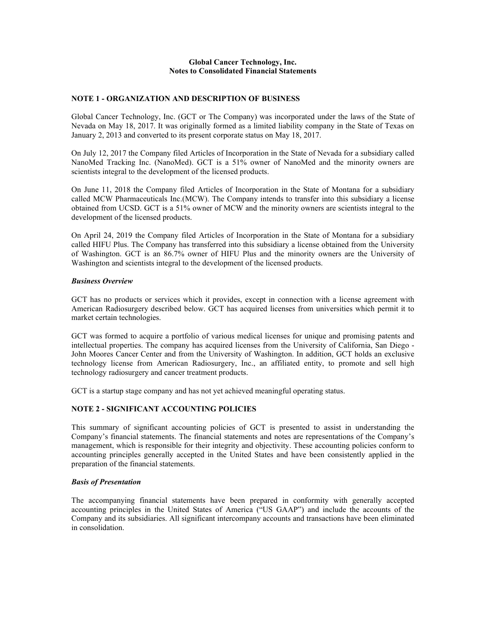# **Global Cancer Technology, Inc. Notes to Consolidated Financial Statements**

#### **NOTE 1 - ORGANIZATION AND DESCRIPTION OF BUSINESS**

Global Cancer Technology, Inc. (GCT or The Company) was incorporated under the laws of the State of Nevada on May 18, 2017. It was originally formed as a limited liability company in the State of Texas on January 2, 2013 and converted to its present corporate status on May 18, 2017.

On July 12, 2017 the Company filed Articles of Incorporation in the State of Nevada for a subsidiary called NanoMed Tracking Inc. (NanoMed). GCT is a 51% owner of NanoMed and the minority owners are scientists integral to the development of the licensed products.

On June 11, 2018 the Company filed Articles of Incorporation in the State of Montana for a subsidiary called MCW Pharmaceuticals Inc.(MCW). The Company intends to transfer into this subsidiary a license obtained from UCSD. GCT is a 51% owner of MCW and the minority owners are scientists integral to the development of the licensed products.

On April 24, 2019 the Company filed Articles of Incorporation in the State of Montana for a subsidiary called HIFU Plus. The Company has transferred into this subsidiary a license obtained from the University of Washington. GCT is an 86.7% owner of HIFU Plus and the minority owners are the University of Washington and scientists integral to the development of the licensed products.

#### *Business Overview*

GCT has no products or services which it provides, except in connection with a license agreement with American Radiosurgery described below. GCT has acquired licenses from universities which permit it to market certain technologies.

GCT was formed to acquire a portfolio of various medical licenses for unique and promising patents and intellectual properties. The company has acquired licenses from the University of California, San Diego - John Moores Cancer Center and from the University of Washington. In addition, GCT holds an exclusive technology license from American Radiosurgery, Inc., an affiliated entity, to promote and sell high technology radiosurgery and cancer treatment products.

GCT is a startup stage company and has not yet achieved meaningful operating status.

#### **NOTE 2 - SIGNIFICANT ACCOUNTING POLICIES**

This summary of significant accounting policies of GCT is presented to assist in understanding the Company's financial statements. The financial statements and notes are representations of the Company's management, which is responsible for their integrity and objectivity. These accounting policies conform to accounting principles generally accepted in the United States and have been consistently applied in the preparation of the financial statements.

#### *Basis of Presentation*

The accompanying financial statements have been prepared in conformity with generally accepted accounting principles in the United States of America ("US GAAP") and include the accounts of the Company and its subsidiaries. All significant intercompany accounts and transactions have been eliminated in consolidation.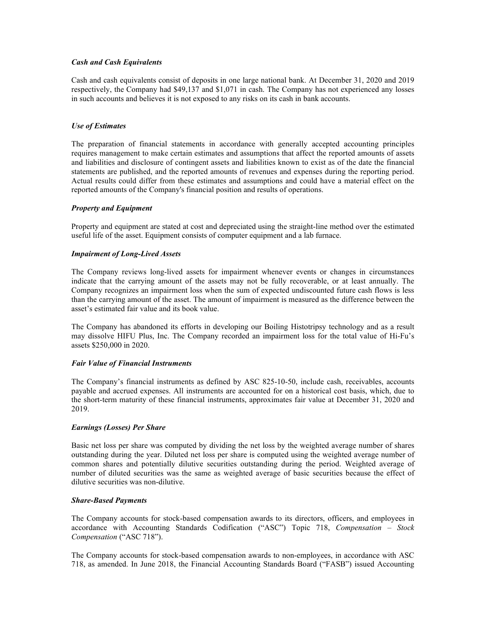# *Cash and Cash Equivalents*

Cash and cash equivalents consist of deposits in one large national bank. At December 31, 2020 and 2019 respectively, the Company had \$49,137 and \$1,071 in cash. The Company has not experienced any losses in such accounts and believes it is not exposed to any risks on its cash in bank accounts.

# *Use of Estimates*

The preparation of financial statements in accordance with generally accepted accounting principles requires management to make certain estimates and assumptions that affect the reported amounts of assets and liabilities and disclosure of contingent assets and liabilities known to exist as of the date the financial statements are published, and the reported amounts of revenues and expenses during the reporting period. Actual results could differ from these estimates and assumptions and could have a material effect on the reported amounts of the Company's financial position and results of operations.

# *Property and Equipment*

Property and equipment are stated at cost and depreciated using the straight-line method over the estimated useful life of the asset. Equipment consists of computer equipment and a lab furnace.

# *Impairment of Long-Lived Assets*

The Company reviews long-lived assets for impairment whenever events or changes in circumstances indicate that the carrying amount of the assets may not be fully recoverable, or at least annually. The Company recognizes an impairment loss when the sum of expected undiscounted future cash flows is less than the carrying amount of the asset. The amount of impairment is measured as the difference between the asset's estimated fair value and its book value.

The Company has abandoned its efforts in developing our Boiling Histotripsy technology and as a result may dissolve HIFU Plus, Inc. The Company recorded an impairment loss for the total value of Hi-Fu's assets \$250,000 in 2020.

#### *Fair Value of Financial Instruments*

The Company's financial instruments as defined by ASC 825-10-50, include cash, receivables, accounts payable and accrued expenses. All instruments are accounted for on a historical cost basis, which, due to the short-term maturity of these financial instruments, approximates fair value at December 31, 2020 and 2019.

#### *Earnings (Losses) Per Share*

Basic net loss per share was computed by dividing the net loss by the weighted average number of shares outstanding during the year. Diluted net loss per share is computed using the weighted average number of common shares and potentially dilutive securities outstanding during the period. Weighted average of number of diluted securities was the same as weighted average of basic securities because the effect of dilutive securities was non-dilutive.

#### *Share-Based Payments*

The Company accounts for stock-based compensation awards to its directors, officers, and employees in accordance with Accounting Standards Codification ("ASC") Topic 718, *Compensation – Stock Compensation* ("ASC 718").

The Company accounts for stock-based compensation awards to non-employees, in accordance with ASC 718, as amended. In June 2018, the Financial Accounting Standards Board ("FASB") issued Accounting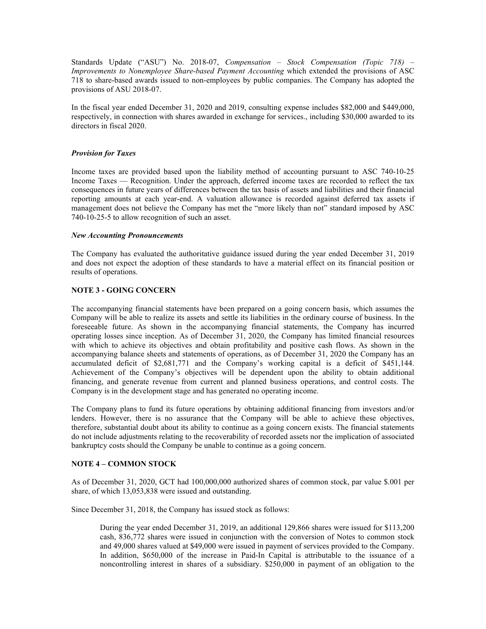Standards Update ("ASU") No. 2018-07, *Compensation – Stock Compensation (Topic 718) – Improvements to Nonemployee Share-based Payment Accounting* which extended the provisions of ASC 718 to share-based awards issued to non-employees by public companies. The Company has adopted the provisions of ASU 2018-07.

In the fiscal year ended December 31, 2020 and 2019, consulting expense includes \$82,000 and \$449,000, respectively, in connection with shares awarded in exchange for services., including \$30,000 awarded to its directors in fiscal 2020.

# *Provision for Taxes*

Income taxes are provided based upon the liability method of accounting pursuant to ASC 740-10-25 Income Taxes — Recognition. Under the approach, deferred income taxes are recorded to reflect the tax consequences in future years of differences between the tax basis of assets and liabilities and their financial reporting amounts at each year-end. A valuation allowance is recorded against deferred tax assets if management does not believe the Company has met the "more likely than not" standard imposed by ASC 740-10-25-5 to allow recognition of such an asset.

# *New Accounting Pronouncements*

The Company has evaluated the authoritative guidance issued during the year ended December 31, 2019 and does not expect the adoption of these standards to have a material effect on its financial position or results of operations.

# **NOTE 3 - GOING CONCERN**

The accompanying financial statements have been prepared on a going concern basis, which assumes the Company will be able to realize its assets and settle its liabilities in the ordinary course of business. In the foreseeable future. As shown in the accompanying financial statements, the Company has incurred operating losses since inception. As of December 31, 2020, the Company has limited financial resources with which to achieve its objectives and obtain profitability and positive cash flows. As shown in the accompanying balance sheets and statements of operations, as of December 31, 2020 the Company has an accumulated deficit of \$2,681,771 and the Company's working capital is a deficit of \$451,144. Achievement of the Company's objectives will be dependent upon the ability to obtain additional financing, and generate revenue from current and planned business operations, and control costs. The Company is in the development stage and has generated no operating income.

The Company plans to fund its future operations by obtaining additional financing from investors and/or lenders. However, there is no assurance that the Company will be able to achieve these objectives, therefore, substantial doubt about its ability to continue as a going concern exists. The financial statements do not include adjustments relating to the recoverability of recorded assets nor the implication of associated bankruptcy costs should the Company be unable to continue as a going concern.

# **NOTE 4 – COMMON STOCK**

As of December 31, 2020, GCT had 100,000,000 authorized shares of common stock, par value \$.001 per share, of which 13,053,838 were issued and outstanding.

Since December 31, 2018, the Company has issued stock as follows:

During the year ended December 31, 2019, an additional 129,866 shares were issued for \$113,200 cash, 836,772 shares were issued in conjunction with the conversion of Notes to common stock and 49,000 shares valued at \$49,000 were issued in payment of services provided to the Company. In addition, \$650,000 of the increase in Paid-In Capital is attributable to the issuance of a noncontrolling interest in shares of a subsidiary. \$250,000 in payment of an obligation to the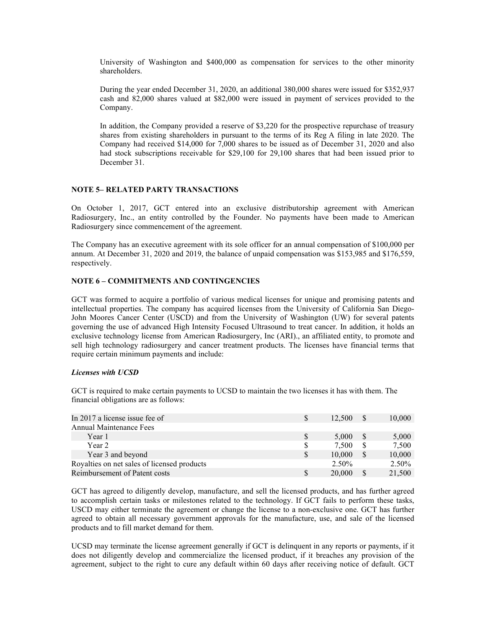University of Washington and \$400,000 as compensation for services to the other minority shareholders.

During the year ended December 31, 2020, an additional 380,000 shares were issued for \$352,937 cash and 82,000 shares valued at \$82,000 were issued in payment of services provided to the Company.

In addition, the Company provided a reserve of \$3,220 for the prospective repurchase of treasury shares from existing shareholders in pursuant to the terms of its Reg A filing in late 2020. The Company had received \$14,000 for 7,000 shares to be issued as of December 31, 2020 and also had stock subscriptions receivable for \$29,100 for 29,100 shares that had been issued prior to December 31.

# **NOTE 5– RELATED PARTY TRANSACTIONS**

On October 1, 2017, GCT entered into an exclusive distributorship agreement with American Radiosurgery, Inc., an entity controlled by the Founder. No payments have been made to American Radiosurgery since commencement of the agreement.

The Company has an executive agreement with its sole officer for an annual compensation of \$100,000 per annum. At December 31, 2020 and 2019, the balance of unpaid compensation was \$153,985 and \$176,559, respectively.

# **NOTE 6 – COMMITMENTS AND CONTINGENCIES**

GCT was formed to acquire a portfolio of various medical licenses for unique and promising patents and intellectual properties. The company has acquired licenses from the University of California San Diego-John Moores Cancer Center (USCD) and from the University of Washington (UW) for several patents governing the use of advanced High Intensity Focused Ultrasound to treat cancer. In addition, it holds an exclusive technology license from American Radiosurgery, Inc (ARI)., an affiliated entity, to promote and sell high technology radiosurgery and cancer treatment products. The licenses have financial terms that require certain minimum payments and include:

#### *Licenses with UCSD*

GCT is required to make certain payments to UCSD to maintain the two licenses it has with them. The financial obligations are as follows:

| In 2017 a license issue fee of              | 12.500 |              | 10,000 |
|---------------------------------------------|--------|--------------|--------|
| Annual Maintenance Fees                     |        |              |        |
| Year 1                                      | 5.000  |              | 5,000  |
| Year 2                                      | 7.500  |              | 7,500  |
| Year 3 and beyond                           | 10.000 | <sup>S</sup> | 10,000 |
| Royalties on net sales of licensed products | 2.50%  |              | 2.50%  |
| Reimbursement of Patent costs               | 20,000 | S            | 21,500 |

GCT has agreed to diligently develop, manufacture, and sell the licensed products, and has further agreed to accomplish certain tasks or milestones related to the technology. If GCT fails to perform these tasks, USCD may either terminate the agreement or change the license to a non-exclusive one. GCT has further agreed to obtain all necessary government approvals for the manufacture, use, and sale of the licensed products and to fill market demand for them.

UCSD may terminate the license agreement generally if GCT is delinquent in any reports or payments, if it does not diligently develop and commercialize the licensed product, if it breaches any provision of the agreement, subject to the right to cure any default within 60 days after receiving notice of default. GCT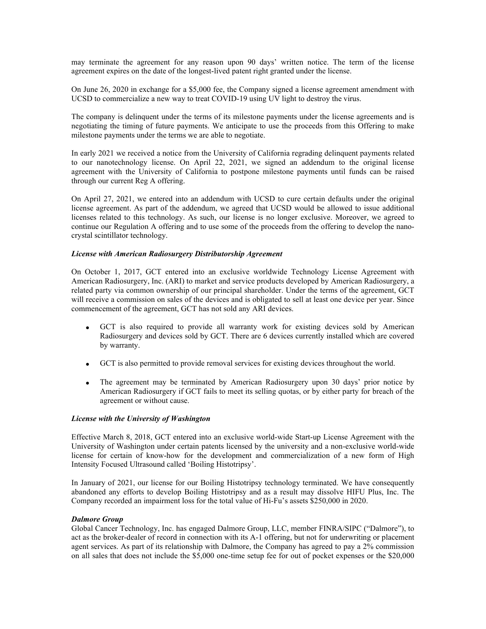may terminate the agreement for any reason upon 90 days' written notice. The term of the license agreement expires on the date of the longest-lived patent right granted under the license.

On June 26, 2020 in exchange for a \$5,000 fee, the Company signed a license agreement amendment with UCSD to commercialize a new way to treat COVID-19 using UV light to destroy the virus.

The company is delinquent under the terms of its milestone payments under the license agreements and is negotiating the timing of future payments. We anticipate to use the proceeds from this Offering to make milestone payments under the terms we are able to negotiate.

In early 2021 we received a notice from the University of California regrading delinquent payments related to our nanotechnology license. On April 22, 2021, we signed an addendum to the original license agreement with the University of California to postpone milestone payments until funds can be raised through our current Reg A offering.

On April 27, 2021, we entered into an addendum with UCSD to cure certain defaults under the original license agreement. As part of the addendum, we agreed that UCSD would be allowed to issue additional licenses related to this technology. As such, our license is no longer exclusive. Moreover, we agreed to continue our Regulation A offering and to use some of the proceeds from the offering to develop the nanocrystal scintillator technology.

# *License with American Radiosurgery Distributorship Agreement*

On October 1, 2017, GCT entered into an exclusive worldwide Technology License Agreement with American Radiosurgery, Inc. (ARI) to market and service products developed by American Radiosurgery, a related party via common ownership of our principal shareholder. Under the terms of the agreement, GCT will receive a commission on sales of the devices and is obligated to sell at least one device per year. Since commencement of the agreement, GCT has not sold any ARI devices.

- GCT is also required to provide all warranty work for existing devices sold by American Radiosurgery and devices sold by GCT. There are 6 devices currently installed which are covered by warranty.
- GCT is also permitted to provide removal services for existing devices throughout the world.
- The agreement may be terminated by American Radiosurgery upon 30 days' prior notice by American Radiosurgery if GCT fails to meet its selling quotas, or by either party for breach of the agreement or without cause.

#### *License with the University of Washington*

Effective March 8, 2018, GCT entered into an exclusive world-wide Start-up License Agreement with the University of Washington under certain patents licensed by the university and a non-exclusive world-wide license for certain of know-how for the development and commercialization of a new form of High Intensity Focused Ultrasound called 'Boiling Histotripsy'.

In January of 2021, our license for our Boiling Histotripsy technology terminated. We have consequently abandoned any efforts to develop Boiling Histotripsy and as a result may dissolve HIFU Plus, Inc. The Company recorded an impairment loss for the total value of Hi-Fu's assets \$250,000 in 2020.

#### *Dalmore Group*

Global Cancer Technology, Inc. has engaged Dalmore Group, LLC, member FINRA/SIPC ("Dalmore"), to act as the broker-dealer of record in connection with its A-1 offering, but not for underwriting or placement agent services. As part of its relationship with Dalmore, the Company has agreed to pay a 2% commission on all sales that does not include the \$5,000 one-time setup fee for out of pocket expenses or the \$20,000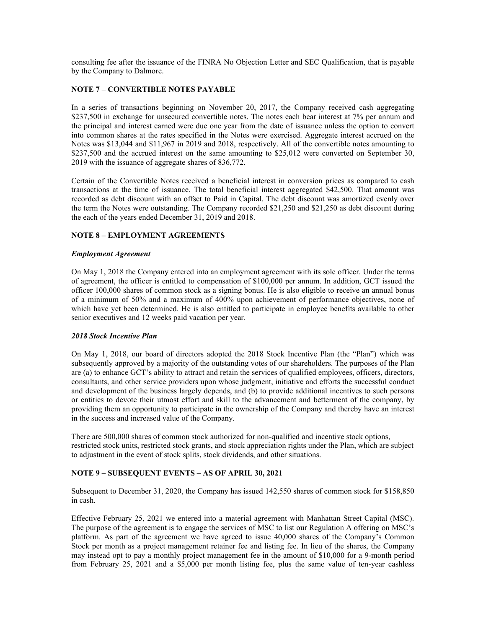consulting fee after the issuance of the FINRA No Objection Letter and SEC Qualification, that is payable by the Company to Dalmore.

# **NOTE 7 – CONVERTIBLE NOTES PAYABLE**

In a series of transactions beginning on November 20, 2017, the Company received cash aggregating \$237,500 in exchange for unsecured convertible notes. The notes each bear interest at 7% per annum and the principal and interest earned were due one year from the date of issuance unless the option to convert into common shares at the rates specified in the Notes were exercised. Aggregate interest accrued on the Notes was \$13,044 and \$11,967 in 2019 and 2018, respectively. All of the convertible notes amounting to \$237,500 and the accrued interest on the same amounting to \$25,012 were converted on September 30, 2019 with the issuance of aggregate shares of 836,772.

Certain of the Convertible Notes received a beneficial interest in conversion prices as compared to cash transactions at the time of issuance. The total beneficial interest aggregated \$42,500. That amount was recorded as debt discount with an offset to Paid in Capital. The debt discount was amortized evenly over the term the Notes were outstanding. The Company recorded \$21,250 and \$21,250 as debt discount during the each of the years ended December 31, 2019 and 2018.

# **NOTE 8 – EMPLOYMENT AGREEMENTS**

# *Employment Agreement*

On May 1, 2018 the Company entered into an employment agreement with its sole officer. Under the terms of agreement, the officer is entitled to compensation of \$100,000 per annum. In addition, GCT issued the officer 100,000 shares of common stock as a signing bonus. He is also eligible to receive an annual bonus of a minimum of 50% and a maximum of 400% upon achievement of performance objectives, none of which have yet been determined. He is also entitled to participate in employee benefits available to other senior executives and 12 weeks paid vacation per year.

# *2018 Stock Incentive Plan*

On May 1, 2018, our board of directors adopted the 2018 Stock Incentive Plan (the "Plan") which was subsequently approved by a majority of the outstanding votes of our shareholders. The purposes of the Plan are (a) to enhance GCT's ability to attract and retain the services of qualified employees, officers, directors, consultants, and other service providers upon whose judgment, initiative and efforts the successful conduct and development of the business largely depends, and (b) to provide additional incentives to such persons or entities to devote their utmost effort and skill to the advancement and betterment of the company, by providing them an opportunity to participate in the ownership of the Company and thereby have an interest in the success and increased value of the Company.

There are 500,000 shares of common stock authorized for non-qualified and incentive stock options, restricted stock units, restricted stock grants, and stock appreciation rights under the Plan, which are subject to adjustment in the event of stock splits, stock dividends, and other situations.

# **NOTE 9 – SUBSEQUENT EVENTS – AS OF APRIL 30, 2021**

Subsequent to December 31, 2020, the Company has issued 142,550 shares of common stock for \$158,850 in cash.

Effective February 25, 2021 we entered into a material agreement with Manhattan Street Capital (MSC). The purpose of the agreement is to engage the services of MSC to list our Regulation A offering on MSC's platform. As part of the agreement we have agreed to issue 40,000 shares of the Company's Common Stock per month as a project management retainer fee and listing fee. In lieu of the shares, the Company may instead opt to pay a monthly project management fee in the amount of \$10,000 for a 9-month period from February 25, 2021 and a \$5,000 per month listing fee, plus the same value of ten-year cashless